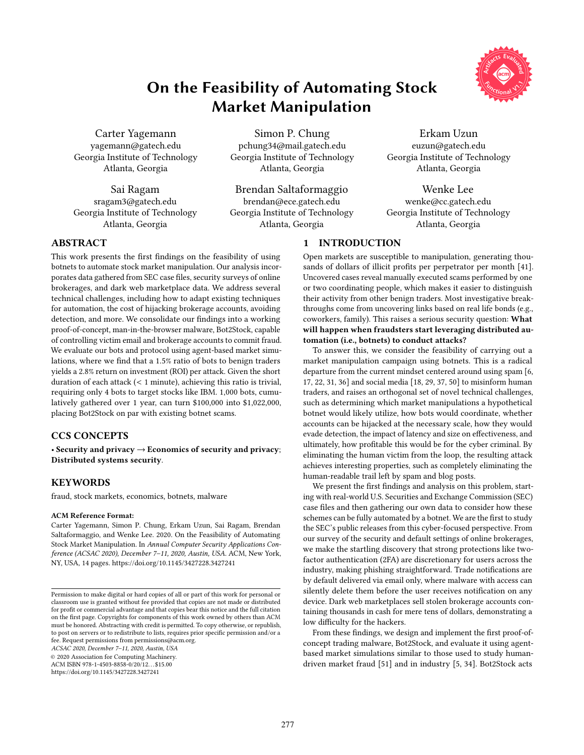# On the Feasibility of Automating Stock Market Manipulation

Carter Yagemann yagemann@gatech.edu Georgia Institute of Technology Atlanta, Georgia

Sai Ragam sragam3@gatech.edu Georgia Institute of Technology Atlanta, Georgia

Simon P. Chung pchung34@mail.gatech.edu Georgia Institute of Technology Atlanta, Georgia

Brendan Saltaformaggio brendan@ece.gatech.edu Georgia Institute of Technology Atlanta, Georgia



Erkam Uzun euzun@gatech.edu Georgia Institute of Technology Atlanta, Georgia

Wenke Lee wenke@cc.gatech.edu Georgia Institute of Technology Atlanta, Georgia

# 1 INTRODUCTION

Open markets are susceptible to manipulation, generating thousands of dollars of illicit profits per perpetrator per month [\[41\]](#page-11-0). Uncovered cases reveal manually executed scams performed by one or two coordinating people, which makes it easier to distinguish their activity from other benign traders. Most investigative breakthroughs come from uncovering links based on real life bonds (e.g., coworkers, family). This raises a serious security question: What will happen when fraudsters start leveraging distributed automation (i.e., botnets) to conduct attacks?

To answer this, we consider the feasibility of carrying out a market manipulation campaign using botnets. This is a radical departure from the current mindset centered around using spam [\[6,](#page-10-0) [17,](#page-10-1) [22,](#page-11-1) [31,](#page-11-2) [36\]](#page-11-3) and social media [\[18,](#page-10-2) [29,](#page-11-4) [37,](#page-11-5) [50\]](#page-11-6) to misinform human traders, and raises an orthogonal set of novel technical challenges, such as determining which market manipulations a hypothetical botnet would likely utilize, how bots would coordinate, whether accounts can be hijacked at the necessary scale, how they would evade detection, the impact of latency and size on effectiveness, and ultimately, how profitable this would be for the cyber criminal. By eliminating the human victim from the loop, the resulting attack achieves interesting properties, such as completely eliminating the human-readable trail left by spam and blog posts.

We present the first findings and analysis on this problem, starting with real-world U.S. Securities and Exchange Commission (SEC) case files and then gathering our own data to consider how these schemes can be fully automated by a botnet. We are the first to study the SEC's public releases from this cyber-focused perspective. From our survey of the security and default settings of online brokerages, we make the startling discovery that strong protections like twofactor authentication (2FA) are discretionary for users across the industry, making phishing straightforward. Trade notifications are by default delivered via email only, where malware with access can silently delete them before the user receives notification on any device. Dark web marketplaces sell stolen brokerage accounts containing thousands in cash for mere tens of dollars, demonstrating a low difficulty for the hackers.

From these findings, we design and implement the first proof-ofconcept trading malware, Bot2Stock, and evaluate it using agentbased market simulations similar to those used to study humandriven market fraud [\[51\]](#page-11-7) and in industry [\[5,](#page-10-3) [34\]](#page-11-8). Bot2Stock acts

# ABSTRACT

This work presents the first findings on the feasibility of using botnets to automate stock market manipulation. Our analysis incorporates data gathered from SEC case files, security surveys of online brokerages, and dark web marketplace data. We address several technical challenges, including how to adapt existing techniques for automation, the cost of hijacking brokerage accounts, avoiding detection, and more. We consolidate our findings into a working proof-of-concept, man-in-the-browser malware, Bot2Stock, capable of controlling victim email and brokerage accounts to commit fraud. We evaluate our bots and protocol using agent-based market simulations, where we find that a 1.5% ratio of bots to benign traders yields a 2.8% return on investment (ROI) per attack. Given the short duration of each attack (< <sup>1</sup> minute), achieving this ratio is trivial, requiring only 4 bots to target stocks like IBM. 1,000 bots, cumulatively gathered over 1 year, can turn \$100,000 into \$1,022,000, placing Bot2Stock on par with existing botnet scams.

# CCS CONCEPTS

• Security and privacy  $\rightarrow$  Economics of security and privacy; Distributed systems security.

# **KEYWORDS**

fraud, stock markets, economics, botnets, malware

#### ACM Reference Format:

Carter Yagemann, Simon P. Chung, Erkam Uzun, Sai Ragam, Brendan Saltaformaggio, and Wenke Lee. 2020. On the Feasibility of Automating Stock Market Manipulation. In Annual Computer Security Applications Conference (ACSAC 2020), December 7–11, 2020, Austin, USA. ACM, New York, NY, USA, [14](#page-13-0) pages.<https://doi.org/10.1145/3427228.3427241>

ACSAC 2020, December 7–11, 2020, Austin, USA

© 2020 Association for Computing Machinery.

ACM ISBN 978-1-4503-8858-0/20/12. . . \$15.00

<https://doi.org/10.1145/3427228.3427241>

Permission to make digital or hard copies of all or part of this work for personal or classroom use is granted without fee provided that copies are not made or distributed for profit or commercial advantage and that copies bear this notice and the full citation on the first page. Copyrights for components of this work owned by others than ACM must be honored. Abstracting with credit is permitted. To copy otherwise, or republish, to post on servers or to redistribute to lists, requires prior specific permission and/or a fee. Request permissions from permissions@acm.org.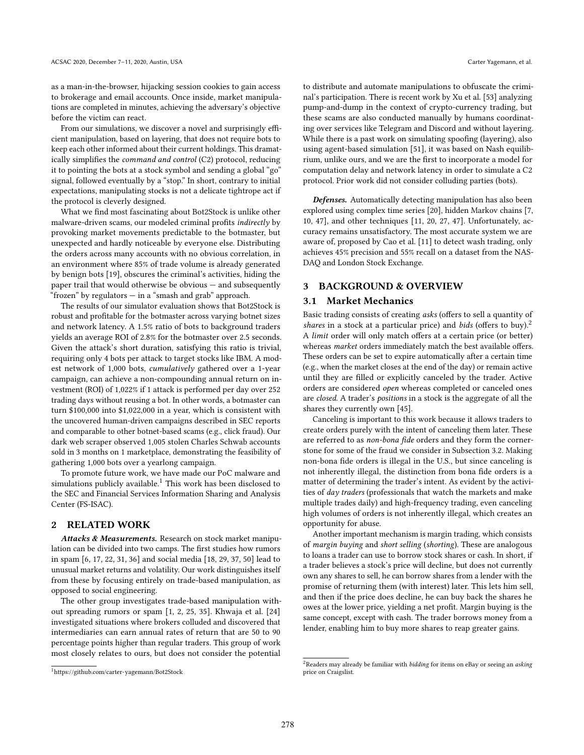as a man-in-the-browser, hijacking session cookies to gain access to brokerage and email accounts. Once inside, market manipulations are completed in minutes, achieving the adversary's objective before the victim can react.

From our simulations, we discover a novel and surprisingly efficient manipulation, based on layering, that does not require bots to keep each other informed about their current holdings. This dramatically simplifies the command and control (C2) protocol, reducing it to pointing the bots at a stock symbol and sending a global "go" signal, followed eventually by a "stop." In short, contrary to initial expectations, manipulating stocks is not a delicate tightrope act if the protocol is cleverly designed.

What we find most fascinating about Bot2Stock is unlike other malware-driven scams, our modeled criminal profits indirectly by provoking market movements predictable to the botmaster, but unexpected and hardly noticeable by everyone else. Distributing the orders across many accounts with no obvious correlation, in an environment where 85% of trade volume is already generated by benign bots [\[19\]](#page-10-4), obscures the criminal's activities, hiding the paper trail that would otherwise be obvious — and subsequently "frozen" by regulators — in a "smash and grab" approach.

The results of our simulator evaluation shows that Bot2Stock is robust and profitable for the botmaster across varying botnet sizes and network latency. A 1.5% ratio of bots to background traders yields an average ROI of 2.8% for the botmaster over 2.5 seconds. Given the attack's short duration, satisfying this ratio is trivial, requiring only 4 bots per attack to target stocks like IBM. A modest network of 1,000 bots, cumulatively gathered over a 1-year campaign, can achieve a non-compounding annual return on investment (ROI) of 1,022% if 1 attack is performed per day over 252 trading days without reusing a bot. In other words, a botmaster can turn \$100,000 into \$1,022,000 in a year, which is consistent with the uncovered human-driven campaigns described in SEC reports and comparable to other botnet-based scams (e.g., click fraud). Our dark web scraper observed 1,005 stolen Charles Schwab accounts sold in 3 months on 1 marketplace, demonstrating the feasibility of gathering 1,000 bots over a yearlong campaign.

To promote future work, we have made our PoC malware and simulations publicly available.<sup>[1](#page-1-0)</sup> This work has been disclosed to the SEC and Financial Services Information Sharing and Analysis Center (FS-ISAC).

# <span id="page-1-3"></span>2 RELATED WORK

Attacks & Measurements. Research on stock market manipulation can be divided into two camps. The first studies how rumors in spam [\[6,](#page-10-0) [17,](#page-10-1) [22,](#page-11-1) [31,](#page-11-2) [36\]](#page-11-3) and social media [\[18,](#page-10-2) [29,](#page-11-4) [37,](#page-11-5) [50\]](#page-11-6) lead to unusual market returns and volatility. Our work distinguishes itself from these by focusing entirely on trade-based manipulation, as opposed to social engineering.

The other group investigates trade-based manipulation without spreading rumors or spam [\[1,](#page-10-5) [2,](#page-10-6) [25,](#page-11-9) [35\]](#page-11-10). Khwaja et al. [\[24\]](#page-11-11) investigated situations where brokers colluded and discovered that intermediaries can earn annual rates of return that are 50 to 90 percentage points higher than regular traders. This group of work most closely relates to ours, but does not consider the potential

to distribute and automate manipulations to obfuscate the criminal's participation. There is recent work by Xu et al. [\[53\]](#page-11-12) analyzing pump-and-dump in the context of crypto-currency trading, but these scams are also conducted manually by humans coordinating over services like Telegram and Discord and without layering. While there is a past work on simulating spoofing (layering), also using agent-based simulation [\[51\]](#page-11-7), it was based on Nash equilibrium, unlike ours, and we are the first to incorporate a model for computation delay and network latency in order to simulate a C2 protocol. Prior work did not consider colluding parties (bots).

Defenses. Automatically detecting manipulation has also been explored using complex time series [\[20\]](#page-10-7), hidden Markov chains [\[7,](#page-10-8) [10,](#page-10-9) [47\]](#page-11-13), and other techniques [\[11,](#page-10-10) [20,](#page-10-7) [27,](#page-11-14) [47\]](#page-11-13). Unfortunately, accuracy remains unsatisfactory. The most accurate system we are aware of, proposed by Cao et al. [\[11\]](#page-10-10) to detect wash trading, only achieves 45% precision and 55% recall on a dataset from the NAS-DAQ and London Stock Exchange.

# 3 BACKGROUND & OVERVIEW

#### <span id="page-1-2"></span>3.1 Market Mechanics

Basic trading consists of creating asks (offers to sell a quantity of shares in a stock at a particular price) and bids (offers to buy). $^2$  $^2$ A limit order will only match offers at a certain price (or better) whereas market orders immediately match the best available offers. These orders can be set to expire automatically after a certain time (e.g., when the market closes at the end of the day) or remain active until they are filled or explicitly canceled by the trader. Active orders are considered open whereas completed or canceled ones are closed. A trader's positions in a stock is the aggregate of all the shares they currently own [\[45\]](#page-11-15).

Canceling is important to this work because it allows traders to create orders purely with the intent of canceling them later. These are referred to as non-bona fide orders and they form the cornerstone for some of the fraud we consider in Subsection [3.2.](#page-2-0) Making non-bona fide orders is illegal in the U.S., but since canceling is not inherently illegal, the distinction from bona fide orders is a matter of determining the trader's intent. As evident by the activities of day traders (professionals that watch the markets and make multiple trades daily) and high-frequency trading, even canceling high volumes of orders is not inherently illegal, which creates an opportunity for abuse.

Another important mechanism is margin trading, which consists of margin buying and short selling (shorting). These are analogous to loans a trader can use to borrow stock shares or cash. In short, if a trader believes a stock's price will decline, but does not currently own any shares to sell, he can borrow shares from a lender with the promise of returning them (with interest) later. This lets him sell, and then if the price does decline, he can buy back the shares he owes at the lower price, yielding a net profit. Margin buying is the same concept, except with cash. The trader borrows money from a lender, enabling him to buy more shares to reap greater gains.

<span id="page-1-0"></span><sup>1</sup><https://github.com/carter-yagemann/Bot2Stock>

<span id="page-1-1"></span> $2$ Readers may already be familiar with *bidding* for items on eBay or seeing an *asking* price on Craigslist.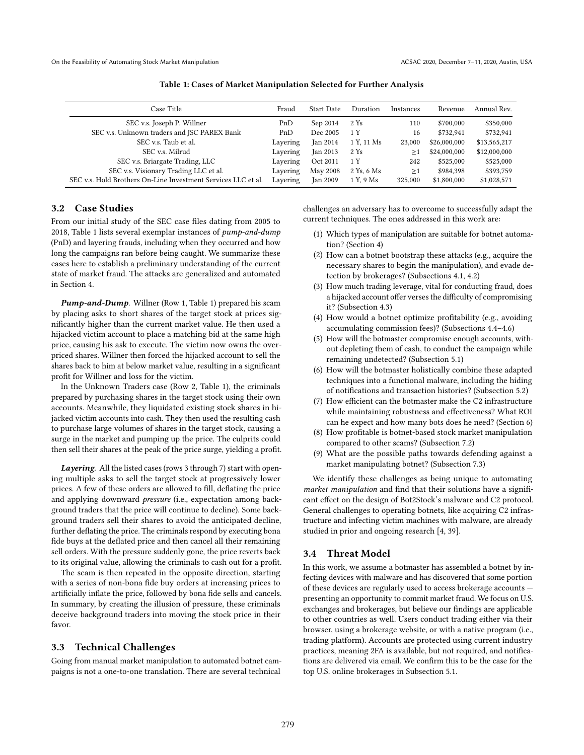<span id="page-2-1"></span>On the Feasibility of Automating Stock Market Manipulation **ACSAC 2020, December 7–11, 2020, Austin, USA** COSAC 2020, December 7–11, 2020, Austin, USA

|  |  |  | Table 1: Cases of Market Manipulation Selected for Further Analysis |  |  |  |
|--|--|--|---------------------------------------------------------------------|--|--|--|
|--|--|--|---------------------------------------------------------------------|--|--|--|

| Case Title                                                    | Fraud    | <b>Start Date</b> | Duration   | <b>Instances</b> | Revenue      | Annual Rev.  |
|---------------------------------------------------------------|----------|-------------------|------------|------------------|--------------|--------------|
| SEC v.s. Joseph P. Willner                                    | PnD      | Sep 2014          | 2 Ys       | 110              | \$700,000    | \$350,000    |
| SEC v.s. Unknown traders and JSC PAREX Bank                   | PnD      | Dec 2005          | 1 Y        | 16               | \$732.941    | \$732,941    |
| SEC v.s. Taub et al.                                          | Layering | Jan 2014          | 1 Y. 11 Ms | 23,000           | \$26,000,000 | \$13,565,217 |
| SEC v.s. Milrud                                               | Layering | Jan 2013          | 2 Ys       | $\geq$ 1         | \$24,000,000 | \$12,000,000 |
| SEC v.s. Briargate Trading, LLC                               | Layering | Oct 2011          | 1 Y        | 242              | \$525,000    | \$525,000    |
| SEC v.s. Visionary Trading LLC et al.                         | Layering | May 2008          | 2 Ys, 6 Ms | $\geq$ 1         | \$984,398    | \$393,759    |
| SEC v.s. Hold Brothers On-Line Investment Services LLC et al. | Layering | Jan 2009          | 1 Y. 9 Ms  | 325,000          | \$1,800,000  | \$1,028,571  |

# <span id="page-2-0"></span>3.2 Case Studies

From our initial study of the SEC case files dating from 2005 to 2018, Table [1](#page-2-1) lists several exemplar instances of pump-and-dump (PnD) and layering frauds, including when they occurred and how long the campaigns ran before being caught. We summarize these cases here to establish a preliminary understanding of the current state of market fraud. The attacks are generalized and automated in Section [4.](#page-3-0)

Pump-and-Dump. Willner (Row 1, Table [1\)](#page-2-1) prepared his scam by placing asks to short shares of the target stock at prices significantly higher than the current market value. He then used a hijacked victim account to place a matching bid at the same high price, causing his ask to execute. The victim now owns the overpriced shares. Willner then forced the hijacked account to sell the shares back to him at below market value, resulting in a significant profit for Willner and loss for the victim.

In the Unknown Traders case (Row 2, Table [1\)](#page-2-1), the criminals prepared by purchasing shares in the target stock using their own accounts. Meanwhile, they liquidated existing stock shares in hijacked victim accounts into cash. They then used the resulting cash to purchase large volumes of shares in the target stock, causing a surge in the market and pumping up the price. The culprits could then sell their shares at the peak of the price surge, yielding a profit.

Layering. All the listed cases (rows 3 through 7) start with opening multiple asks to sell the target stock at progressively lower prices. A few of these orders are allowed to fill, deflating the price and applying downward pressure (i.e., expectation among background traders that the price will continue to decline). Some background traders sell their shares to avoid the anticipated decline, further deflating the price. The criminals respond by executing bona fide buys at the deflated price and then cancel all their remaining sell orders. With the pressure suddenly gone, the price reverts back to its original value, allowing the criminals to cash out for a profit.

The scam is then repeated in the opposite direction, starting with a series of non-bona fide buy orders at increasing prices to artificially inflate the price, followed by bona fide sells and cancels. In summary, by creating the illusion of pressure, these criminals deceive background traders into moving the stock price in their favor.

# 3.3 Technical Challenges

Going from manual market manipulation to automated botnet campaigns is not a one-to-one translation. There are several technical

challenges an adversary has to overcome to successfully adapt the current techniques. The ones addressed in this work are:

- (1) Which types of manipulation are suitable for botnet automation? (Section [4\)](#page-3-0)
- (2) How can a botnet bootstrap these attacks (e.g., acquire the necessary shares to begin the manipulation), and evade detection by brokerages? (Subsections [4.1,](#page-3-1) [4.2\)](#page-3-2)
- (3) How much trading leverage, vital for conducting fraud, does a hijacked account offer verses the difficulty of compromising it? (Subsection [4.3\)](#page-4-0)
- (4) How would a botnet optimize profitability (e.g., avoiding accumulating commission fees)? (Subsections [4.4–](#page-4-1)[4.6\)](#page-5-0)
- (5) How will the botmaster compromise enough accounts, without depleting them of cash, to conduct the campaign while remaining undetected? (Subsection [5.1\)](#page-5-1)
- (6) How will the botmaster holistically combine these adapted techniques into a functional malware, including the hiding of notifications and transaction histories? (Subsection [5.2\)](#page-6-0)
- (7) How efficient can the botmaster make the C2 infrastructure while maintaining robustness and effectiveness? What ROI can he expect and how many bots does he need? (Section [6\)](#page-7-0)
- How profitable is botnet-based stock market manipulation compared to other scams? (Subsection [7.2\)](#page-9-0)
- (9) What are the possible paths towards defending against a market manipulating botnet? (Subsection [7.3\)](#page-9-1)

We identify these challenges as being unique to automating market manipulation and find that their solutions have a significant effect on the design of Bot2Stock's malware and C2 protocol. General challenges to operating botnets, like acquiring C2 infrastructure and infecting victim machines with malware, are already studied in prior and ongoing research [\[4,](#page-10-11) [39\]](#page-11-16).

# 3.4 Threat Model

In this work, we assume a botmaster has assembled a botnet by infecting devices with malware and has discovered that some portion of these devices are regularly used to access brokerage accounts presenting an opportunity to commit market fraud. We focus on U.S. exchanges and brokerages, but believe our findings are applicable to other countries as well. Users conduct trading either via their browser, using a brokerage website, or with a native program (i.e., trading platform). Accounts are protected using current industry practices, meaning 2FA is available, but not required, and notifications are delivered via email. We confirm this to be the case for the top U.S. online brokerages in Subsection [5.1.](#page-5-1)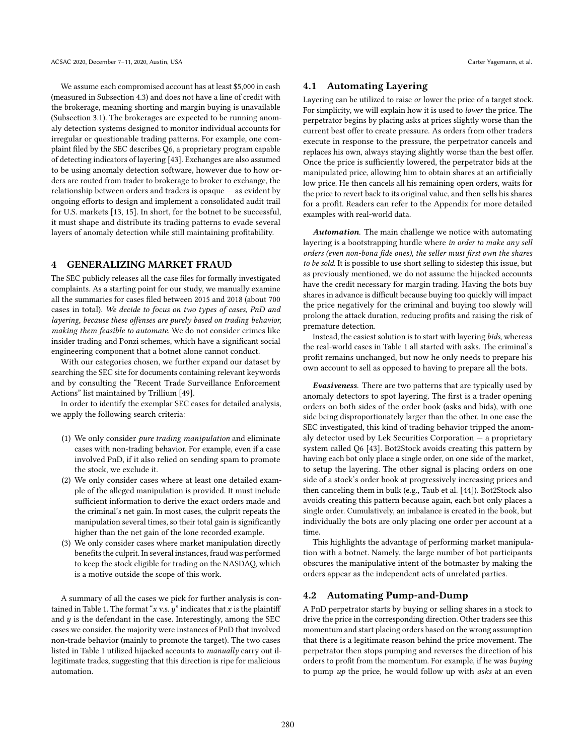We assume each compromised account has at least \$5,000 in cash (measured in Subsection [4.3\)](#page-4-0) and does not have a line of credit with the brokerage, meaning shorting and margin buying is unavailable (Subsection [3.1\)](#page-1-2). The brokerages are expected to be running anomaly detection systems designed to monitor individual accounts for irregular or questionable trading patterns. For example, one complaint filed by the SEC describes Q6, a proprietary program capable of detecting indicators of layering [\[43\]](#page-11-17). Exchanges are also assumed to be using anomaly detection software, however due to how orders are routed from trader to brokerage to broker to exchange, the relationship between orders and traders is opaque — as evident by ongoing efforts to design and implement a consolidated audit trail for U.S. markets [\[13,](#page-10-12) [15\]](#page-10-13). In short, for the botnet to be successful, it must shape and distribute its trading patterns to evade several layers of anomaly detection while still maintaining profitability.

## <span id="page-3-0"></span>4 GENERALIZING MARKET FRAUD

The SEC publicly releases all the case files for formally investigated complaints. As a starting point for our study, we manually examine all the summaries for cases filed between 2015 and 2018 (about 700 cases in total). We decide to focus on two types of cases, PnD and layering, because these offenses are purely based on trading behavior, making them feasible to automate. We do not consider crimes like insider trading and Ponzi schemes, which have a significant social engineering component that a botnet alone cannot conduct.

With our categories chosen, we further expand our dataset by searching the SEC site for documents containing relevant keywords and by consulting the "Recent Trade Surveillance Enforcement Actions" list maintained by Trillium [\[49\]](#page-11-18).

In order to identify the exemplar SEC cases for detailed analysis, we apply the following search criteria:

- (1) We only consider pure trading manipulation and eliminate cases with non-trading behavior. For example, even if a case involved PnD, if it also relied on sending spam to promote the stock, we exclude it.
- (2) We only consider cases where at least one detailed example of the alleged manipulation is provided. It must include sufficient information to derive the exact orders made and the criminal's net gain. In most cases, the culprit repeats the manipulation several times, so their total gain is significantly higher than the net gain of the lone recorded example.
- (3) We only consider cases where market manipulation directly benefits the culprit. In several instances, fraud was performed to keep the stock eligible for trading on the NASDAQ, which is a motive outside the scope of this work.

A summary of all the cases we pick for further analysis is con-tained in Table [1.](#page-2-1) The format " $x$  v.s.  $y$ " indicates that  $x$  is the plaintiff and  $y$  is the defendant in the case. Interestingly, among the SEC cases we consider, the majority were instances of PnD that involved non-trade behavior (mainly to promote the target). The two cases listed in Table [1](#page-2-1) utilized hijacked accounts to manually carry out illegitimate trades, suggesting that this direction is ripe for malicious automation.

# <span id="page-3-1"></span>4.1 Automating Layering

Layering can be utilized to raise or lower the price of a target stock. For simplicity, we will explain how it is used to lower the price. The perpetrator begins by placing asks at prices slightly worse than the current best offer to create pressure. As orders from other traders execute in response to the pressure, the perpetrator cancels and replaces his own, always staying slightly worse than the best offer. Once the price is sufficiently lowered, the perpetrator bids at the manipulated price, allowing him to obtain shares at an artificially low price. He then cancels all his remaining open orders, waits for the price to revert back to its original value, and then sells his shares for a profit. Readers can refer to the Appendix for more detailed examples with real-world data.

Automation. The main challenge we notice with automating layering is a bootstrapping hurdle where in order to make any sell orders (even non-bona fide ones), the seller must first own the shares to be sold. It is possible to use short selling to sidestep this issue, but as previously mentioned, we do not assume the hijacked accounts have the credit necessary for margin trading. Having the bots buy shares in advance is difficult because buying too quickly will impact the price negatively for the criminal and buying too slowly will prolong the attack duration, reducing profits and raising the risk of premature detection.

Instead, the easiest solution is to start with layering bids, whereas the real-world cases in Table [1](#page-2-1) all started with asks. The criminal's profit remains unchanged, but now he only needs to prepare his own account to sell as opposed to having to prepare all the bots.

Evasiveness. There are two patterns that are typically used by anomaly detectors to spot layering. The first is a trader opening orders on both sides of the order book (asks and bids), with one side being disproportionately larger than the other. In one case the SEC investigated, this kind of trading behavior tripped the anomaly detector used by Lek Securities Corporation — a proprietary system called Q6 [\[43\]](#page-11-17). Bot2Stock avoids creating this pattern by having each bot only place a single order, on one side of the market, to setup the layering. The other signal is placing orders on one side of a stock's order book at progressively increasing prices and then canceling them in bulk (e.g., Taub et al. [\[44\]](#page-11-19)). Bot2Stock also avoids creating this pattern because again, each bot only places a single order. Cumulatively, an imbalance is created in the book, but individually the bots are only placing one order per account at a time.

This highlights the advantage of performing market manipulation with a botnet. Namely, the large number of bot participants obscures the manipulative intent of the botmaster by making the orders appear as the independent acts of unrelated parties.

#### <span id="page-3-2"></span>4.2 Automating Pump-and-Dump

A PnD perpetrator starts by buying or selling shares in a stock to drive the price in the corresponding direction. Other traders see this momentum and start placing orders based on the wrong assumption that there is a legitimate reason behind the price movement. The perpetrator then stops pumping and reverses the direction of his orders to profit from the momentum. For example, if he was buying to pump up the price, he would follow up with asks at an even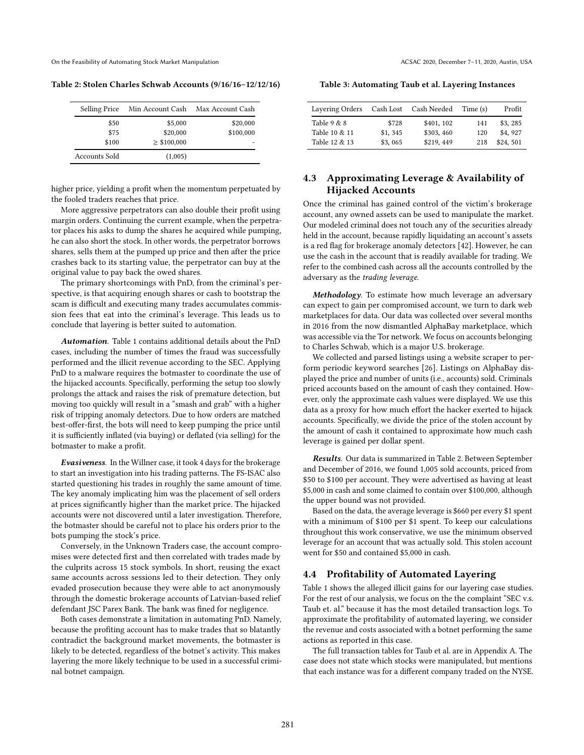On the Feasibility of Automating Stock Market Manipulation **ACSAC 2020, December 7–11, 2020, Austin, USA** COSAC 2020, December 7–11, 2020, Austin, USA

<span id="page-4-2"></span>Table 2: Stolen Charles Schwab Accounts (9/16/16–12/12/16)

| <b>Selling Price</b> | Min Account Cash | Max Account Cash |
|----------------------|------------------|------------------|
| \$50                 | \$5,000          | \$20,000         |
| \$75                 | \$20,000         | \$100,000        |
| \$100                | $\geq$ \$100,000 |                  |
| Accounts Sold        | (1,005)          |                  |

higher price, yielding a profit when the momentum perpetuated by the fooled traders reaches that price.

More aggressive perpetrators can also double their profit using margin orders. Continuing the current example, when the perpetrator places his asks to dump the shares he acquired while pumping, he can also short the stock. In other words, the perpetrator borrows shares, sells them at the pumped up price and then after the price crashes back to its starting value, the perpetrator can buy at the original value to pay back the owed shares.

The primary shortcomings with PnD, from the criminal's perspective, is that acquiring enough shares or cash to bootstrap the scam is difficult and executing many trades accumulates commission fees that eat into the criminal's leverage. This leads us to conclude that layering is better suited to automation.

Automation. Table [1](#page-2-1) contains additional details about the PnD cases, including the number of times the fraud was successfully performed and the illicit revenue according to the SEC. Applying PnD to a malware requires the botmaster to coordinate the use of the hijacked accounts. Specifically, performing the setup too slowly prolongs the attack and raises the risk of premature detection, but moving too quickly will result in a "smash and grab" with a higher risk of tripping anomaly detectors. Due to how orders are matched best-offer-first, the bots will need to keep pumping the price until it is sufficiently inflated (via buying) or deflated (via selling) for the botmaster to make a profit.

Evasiveness. In the Willner case, it took 4 days for the brokerage to start an investigation into his trading patterns. The FS-ISAC also started questioning his trades in roughly the same amount of time. The key anomaly implicating him was the placement of sell orders at prices significantly higher than the market price. The hijacked accounts were not discovered until a later investigation. Therefore, the botmaster should be careful not to place his orders prior to the bots pumping the stock's price.

Conversely, in the Unknown Traders case, the account compromises were detected first and then correlated with trades made by the culprits across 15 stock symbols. In short, reusing the exact same accounts across sessions led to their detection. They only evaded prosecution because they were able to act anonymously through the domestic brokerage accounts of Latvian-based relief defendant JSC Parex Bank. The bank was fined for negligence.

Both cases demonstrate a limitation in automating PnD. Namely, because the profiting account has to make trades that so blatantly contradict the background market movements, the botmaster is likely to be detected, regardless of the botnet's activity. This makes layering the more likely technique to be used in a successful criminal botnet campaign.

<span id="page-4-3"></span>Table 3: Automating Taub et al. Layering Instances

| Layering Orders                                 |                             | Cash Lost Cash Needed                  | Time (s)          | Profit                          |
|-------------------------------------------------|-----------------------------|----------------------------------------|-------------------|---------------------------------|
| Table $9 & 8$<br>Table 10 & 11<br>Table 12 & 13 | \$728<br>\$1,345<br>\$3,065 | \$401, 102<br>\$303, 460<br>\$219, 449 | 141<br>120<br>218 | \$3, 285<br>\$4,927<br>\$24,501 |
|                                                 |                             |                                        |                   |                                 |

# <span id="page-4-0"></span>4.3 Approximating Leverage & Availability of Hijacked Accounts

Once the criminal has gained control of the victim's brokerage account, any owned assets can be used to manipulate the market. Our modeled criminal does not touch any of the securities already held in the account, because rapidly liquidating an account's assets is a red flag for brokerage anomaly detectors [\[42\]](#page-11-20). However, he can use the cash in the account that is readily available for trading. We refer to the combined cash across all the accounts controlled by the adversary as the trading leverage.

Methodology. To estimate how much leverage an adversary can expect to gain per compromised account, we turn to dark web marketplaces for data. Our data was collected over several months in 2016 from the now dismantled AlphaBay marketplace, which was accessible via the Tor network. We focus on accounts belonging to Charles Schwab, which is a major U.S. brokerage.

We collected and parsed listings using a website scraper to perform periodic keyword searches [\[26\]](#page-11-21). Listings on AlphaBay displayed the price and number of units (i.e., accounts) sold. Criminals priced accounts based on the amount of cash they contained. However, only the approximate cash values were displayed. We use this data as a proxy for how much effort the hacker exerted to hijack accounts. Specifically, we divide the price of the stolen account by the amount of cash it contained to approximate how much cash leverage is gained per dollar spent.

Results. Our data is summarized in Table [2.](#page-4-2) Between September and December of 2016, we found 1,005 sold accounts, priced from \$50 to \$100 per account. They were advertised as having at least \$5,000 in cash and some claimed to contain over \$100,000, although the upper bound was not provided.

Based on the data, the average leverage is \$660 per every \$1 spent with a minimum of \$100 per \$1 spent. To keep our calculations throughout this work conservative, we use the minimum observed leverage for an account that was actually sold. This stolen account went for \$50 and contained \$5,000 in cash.

### <span id="page-4-1"></span>4.4 Profitability of Automated Layering

Table [1](#page-2-1) shows the alleged illicit gains for our layering case studies. For the rest of our analysis, we focus on the the complaint "SEC v.s. Taub et. al." because it has the most detailed transaction logs. To approximate the profitability of automated layering, we consider the revenue and costs associated with a botnet performing the same actions as reported in this case.

The full transaction tables for Taub et al. are in Appendix [A.](#page-11-22) The case does not state which stocks were manipulated, but mentions that each instance was for a different company traded on the NYSE.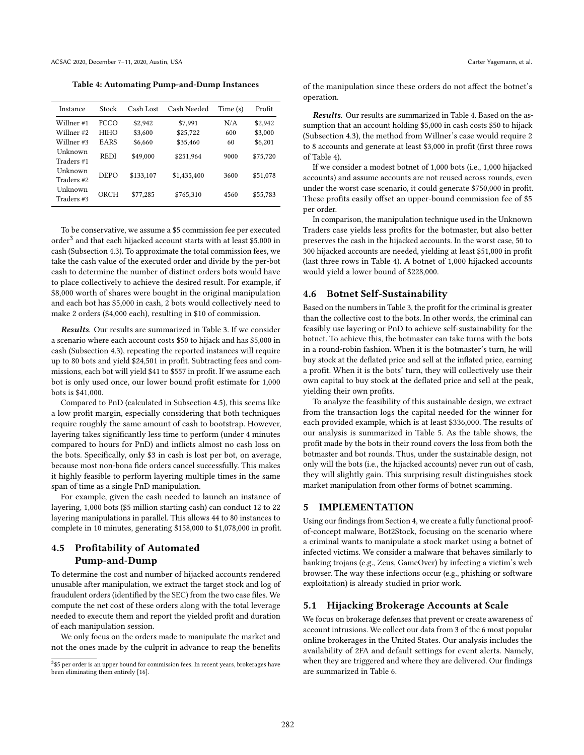<span id="page-5-4"></span>Table 4: Automating Pump-and-Dump Instances

| Instance   | Stock       | Cash Lost | Cash Needed | Time(s) | Profit   |
|------------|-------------|-----------|-------------|---------|----------|
| Willner #1 | <b>FCCO</b> | \$2,942   | \$7.991     | N/A     | \$2.942  |
| Willner #2 | <b>HIHO</b> | \$3,600   | \$25,722    | 600     | \$3,000  |
| Willner #3 | EARS        | \$6,660   | \$35,460    | 60      | \$6,201  |
| Unknown    | <b>REDI</b> | \$49,000  | \$251,964   | 9000    | \$75,720 |
| Traders #1 |             |           |             |         |          |
| Unknown    | <b>DEPO</b> | \$133.107 | \$1,435,400 | 3600    | \$51,078 |
| Traders #2 |             |           |             |         |          |
| Unknown    | ORCH        | \$77,285  | \$765,310   | 4560    | \$55,783 |
| Traders #3 |             |           |             |         |          |

To be conservative, we assume a \$5 commission fee per executed order $^3$  $^3$  and that each hijacked account starts with at least \$5,000 in cash (Subsection [4.3\)](#page-4-0). To approximate the total commission fees, we take the cash value of the executed order and divide by the per-bot cash to determine the number of distinct orders bots would have to place collectively to achieve the desired result. For example, if \$8,000 worth of shares were bought in the original manipulation and each bot has \$5,000 in cash, 2 bots would collectively need to make 2 orders (\$4,000 each), resulting in \$10 of commission.

Results. Our results are summarized in Table [3.](#page-4-3) If we consider a scenario where each account costs \$50 to hijack and has \$5,000 in cash (Subsection [4.3\)](#page-4-0), repeating the reported instances will require up to 80 bots and yield \$24,501 in profit. Subtracting fees and commissions, each bot will yield \$41 to \$557 in profit. If we assume each bot is only used once, our lower bound profit estimate for 1,000 bots is \$41,000.

Compared to PnD (calculated in Subsection [4.5\)](#page-5-3), this seems like a low profit margin, especially considering that both techniques require roughly the same amount of cash to bootstrap. However, layering takes significantly less time to perform (under 4 minutes compared to hours for PnD) and inflicts almost no cash loss on the bots. Specifically, only \$3 in cash is lost per bot, on average, because most non-bona fide orders cancel successfully. This makes it highly feasible to perform layering multiple times in the same span of time as a single PnD manipulation.

For example, given the cash needed to launch an instance of layering, 1,000 bots (\$5 million starting cash) can conduct 12 to 22 layering manipulations in parallel. This allows 44 to 80 instances to complete in 10 minutes, generating \$158,000 to \$1,078,000 in profit.

# <span id="page-5-3"></span>4.5 Profitability of Automated Pump-and-Dump

To determine the cost and number of hijacked accounts rendered unusable after manipulation, we extract the target stock and log of fraudulent orders (identified by the SEC) from the two case files. We compute the net cost of these orders along with the total leverage needed to execute them and report the yielded profit and duration of each manipulation session.

We only focus on the orders made to manipulate the market and not the ones made by the culprit in advance to reap the benefits of the manipulation since these orders do not affect the botnet's operation.

Results. Our results are summarized in Table [4.](#page-5-4) Based on the assumption that an account holding \$5,000 in cash costs \$50 to hijack (Subsection [4.3\)](#page-4-0), the method from Willner's case would require 2 to 8 accounts and generate at least \$3,000 in profit (first three rows of Table [4\)](#page-5-4).

If we consider a modest botnet of 1,000 bots (i.e., 1,000 hijacked accounts) and assume accounts are not reused across rounds, even under the worst case scenario, it could generate \$750,000 in profit. These profits easily offset an upper-bound commission fee of \$5 per order.

In comparison, the manipulation technique used in the Unknown Traders case yields less profits for the botmaster, but also better preserves the cash in the hijacked accounts. In the worst case, 50 to 300 hijacked accounts are needed, yielding at least \$51,000 in profit (last three rows in Table [4\)](#page-5-4). A botnet of 1,000 hijacked accounts would yield a lower bound of \$228,000.

#### <span id="page-5-0"></span>4.6 Botnet Self-Sustainability

Based on the numbers in Table [3,](#page-4-3) the profit for the criminal is greater than the collective cost to the bots. In other words, the criminal can feasibly use layering or PnD to achieve self-sustainability for the botnet. To achieve this, the botmaster can take turns with the bots in a round-robin fashion. When it is the botmaster's turn, he will buy stock at the deflated price and sell at the inflated price, earning a profit. When it is the bots' turn, they will collectively use their own capital to buy stock at the deflated price and sell at the peak, yielding their own profits.

To analyze the feasibility of this sustainable design, we extract from the transaction logs the capital needed for the winner for each provided example, which is at least \$336,000. The results of our analysis is summarized in Table [5.](#page-6-1) As the table shows, the profit made by the bots in their round covers the loss from both the botmaster and bot rounds. Thus, under the sustainable design, not only will the bots (i.e., the hijacked accounts) never run out of cash, they will slightly gain. This surprising result distinguishes stock market manipulation from other forms of botnet scamming.

#### 5 IMPLEMENTATION

Using our findings from Section [4,](#page-3-0) we create a fully functional proofof-concept malware, Bot2Stock, focusing on the scenario where a criminal wants to manipulate a stock market using a botnet of infected victims. We consider a malware that behaves similarly to banking trojans (e.g., Zeus, GameOver) by infecting a victim's web browser. The way these infections occur (e.g., phishing or software exploitation) is already studied in prior work.

#### <span id="page-5-1"></span>5.1 Hijacking Brokerage Accounts at Scale

We focus on brokerage defenses that prevent or create awareness of account intrusions. We collect our data from 3 of the 6 most popular online brokerages in the United States. Our analysis includes the availability of 2FA and default settings for event alerts. Namely, when they are triggered and where they are delivered. Our findings are summarized in Table [6.](#page-6-2)

<span id="page-5-2"></span> $3$ \$5 per order is an upper bound for commission fees. In recent years, brokerages have been eliminating them entirely [\[16\]](#page-10-14).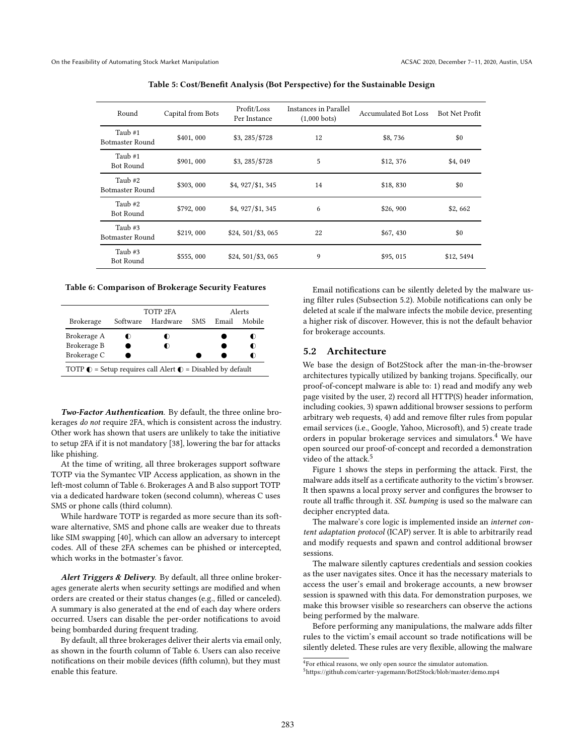<span id="page-6-1"></span>

| Round                             | Capital from Bots | Profit/Loss<br>Per Instance | Instances in Parallel<br>$(1,000 \text{ bets})$ | <b>Accumulated Bot Loss</b> | <b>Bot Net Profit</b> |
|-----------------------------------|-------------------|-----------------------------|-------------------------------------------------|-----------------------------|-----------------------|
| Taub #1<br><b>Botmaster Round</b> | \$401,000         | \$3, 285/\$728              | 12                                              | \$8,736                     | \$0                   |
| Taub #1<br>Bot Round              | \$901,000         | \$3, 285/\$728              | 5                                               | \$12,376                    | \$4,049               |
| Taub #2<br>Botmaster Round        | \$303,000         | \$4, 927/\$1, 345           | 14                                              | \$18,830                    | \$0                   |
| Taub #2<br><b>Bot Round</b>       | \$792,000         | \$4, 927/\$1, 345           | 6                                               | \$26, 900                   | \$2,662               |
| Taub #3<br>Botmaster Round        | \$219,000         | $$24, 501/\$3, 065$         | 22                                              | \$67,430                    | \$0                   |
| Taub #3<br><b>Bot Round</b>       | \$555,000         | $$24, 501/\$3, 065$         | 9                                               | \$95,015                    | \$12,5494             |

Table 5: Cost/Benefit Analysis (Bot Perspective) for the Sustainable Design

#### <span id="page-6-2"></span>Table 6: Comparison of Brokerage Security Features

|                                                                              | TOTP 2FA |          | Alerts |       |        |  |
|------------------------------------------------------------------------------|----------|----------|--------|-------|--------|--|
| <b>Brokerage</b>                                                             | Software | Hardware | SMS.   | Email | Mobile |  |
| Brokerage A                                                                  | O        | O        |        |       |        |  |
| Brokerage B                                                                  |          | O        |        |       |        |  |
| Brokerage C                                                                  |          |          |        |       |        |  |
| TOTP $\bigcirc$ = Setup requires call Alert $\bigcirc$ = Disabled by default |          |          |        |       |        |  |

Two-Factor Authentication. By default, the three online brokerages do not require 2FA, which is consistent across the industry. Other work has shown that users are unlikely to take the initiative to setup 2FA if it is not mandatory [\[38\]](#page-11-23), lowering the bar for attacks like phishing.

At the time of writing, all three brokerages support software TOTP via the Symantec VIP Access application, as shown in the left-most column of Table [6.](#page-6-2) Brokerages A and B also support TOTP via a dedicated hardware token (second column), whereas C uses SMS or phone calls (third column).

While hardware TOTP is regarded as more secure than its software alternative, SMS and phone calls are weaker due to threats like SIM swapping [\[40\]](#page-11-24), which can allow an adversary to intercept codes. All of these 2FA schemes can be phished or intercepted, which works in the botmaster's favor.

Alert Triggers & Delivery. By default, all three online brokerages generate alerts when security settings are modified and when orders are created or their status changes (e.g., filled or canceled). A summary is also generated at the end of each day where orders occurred. Users can disable the per-order notifications to avoid being bombarded during frequent trading.

By default, all three brokerages deliver their alerts via email only, as shown in the fourth column of Table [6.](#page-6-2) Users can also receive notifications on their mobile devices (fifth column), but they must enable this feature.

Email notifications can be silently deleted by the malware using filter rules (Subsection [5.2\)](#page-6-0). Mobile notifications can only be deleted at scale if the malware infects the mobile device, presenting a higher risk of discover. However, this is not the default behavior for brokerage accounts.

# <span id="page-6-0"></span>5.2 Architecture

We base the design of Bot2Stock after the man-in-the-browser architectures typically utilized by banking trojans. Specifically, our proof-of-concept malware is able to: 1) read and modify any web page visited by the user, 2) record all HTTP(S) header information, including cookies, 3) spawn additional browser sessions to perform arbitrary web requests, 4) add and remove filter rules from popular email services (i.e., Google, Yahoo, Microsoft), and 5) create trade orders in popular brokerage services and simulators.[4](#page-6-3) We have open sourced our proof-of-concept and recorded a demonstration video of the attack.<sup>[5](#page-6-4)</sup>

Figure [1](#page-7-1) shows the steps in performing the attack. First, the malware adds itself as a certificate authority to the victim's browser. It then spawns a local proxy server and configures the browser to route all traffic through it. SSL bumping is used so the malware can decipher encrypted data.

The malware's core logic is implemented inside an internet content adaptation protocol (ICAP) server. It is able to arbitrarily read and modify requests and spawn and control additional browser sessions.

The malware silently captures credentials and session cookies as the user navigates sites. Once it has the necessary materials to access the user's email and brokerage accounts, a new browser session is spawned with this data. For demonstration purposes, we make this browser visible so researchers can observe the actions being performed by the malware.

Before performing any manipulations, the malware adds filter rules to the victim's email account so trade notifications will be silently deleted. These rules are very flexible, allowing the malware

<span id="page-6-3"></span><sup>&</sup>lt;sup>4</sup>For ethical reasons, we only open source the simulator automation.

<span id="page-6-4"></span><sup>5</sup><https://github.com/carter-yagemann/Bot2Stock/blob/master/demo.mp4>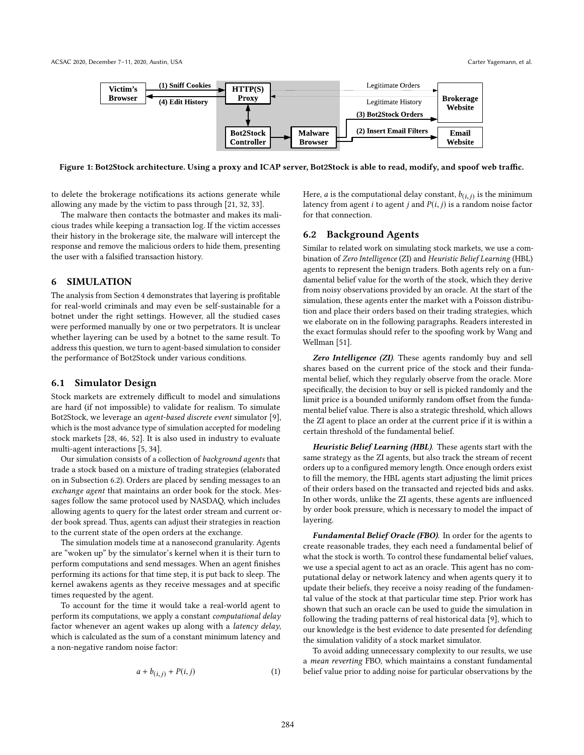<span id="page-7-1"></span>

Figure 1: Bot2Stock architecture. Using a proxy and ICAP server, Bot2Stock is able to read, modify, and spoof web traffic.

to delete the brokerage notifications its actions generate while allowing any made by the victim to pass through [\[21,](#page-11-25) [32,](#page-11-26) [33\]](#page-11-27).

The malware then contacts the botmaster and makes its malicious trades while keeping a transaction log. If the victim accesses their history in the brokerage site, the malware will intercept the response and remove the malicious orders to hide them, presenting the user with a falsified transaction history.

# <span id="page-7-0"></span>6 SIMULATION

The analysis from Section [4](#page-3-0) demonstrates that layering is profitable for real-world criminals and may even be self-sustainable for a botnet under the right settings. However, all the studied cases were performed manually by one or two perpetrators. It is unclear whether layering can be used by a botnet to the same result. To address this question, we turn to agent-based simulation to consider the performance of Bot2Stock under various conditions.

#### 6.1 Simulator Design

Stock markets are extremely difficult to model and simulations are hard (if not impossible) to validate for realism. To simulate Bot2Stock, we leverage an agent-based discrete event simulator [\[9\]](#page-10-15), which is the most advance type of simulation accepted for modeling stock markets [\[28,](#page-11-28) [46,](#page-11-29) [52\]](#page-11-30). It is also used in industry to evaluate multi-agent interactions [\[5,](#page-10-3) [34\]](#page-11-8).

Our simulation consists of a collection of background agents that trade a stock based on a mixture of trading strategies (elaborated on in Subsection [6.2\)](#page-7-2). Orders are placed by sending messages to an exchange agent that maintains an order book for the stock. Messages follow the same protocol used by NASDAQ, which includes allowing agents to query for the latest order stream and current order book spread. Thus, agents can adjust their strategies in reaction to the current state of the open orders at the exchange.

The simulation models time at a nanosecond granularity. Agents are "woken up" by the simulator's kernel when it is their turn to perform computations and send messages. When an agent finishes performing its actions for that time step, it is put back to sleep. The kernel awakens agents as they receive messages and at specific times requested by the agent.

To account for the time it would take a real-world agent to perform its computations, we apply a constant computational delay factor whenever an agent wakes up along with a latency delay, which is calculated as the sum of a constant minimum latency and a non-negative random noise factor:

<span id="page-7-3"></span>
$$
a + b_{(i,j)} + P(i,j) \tag{1}
$$

Here, *a* is the computational delay constant,  $b(i,j)$  is the minimum<br>latency from agent *i* to agent *i* and *P(i, i)* is a random poise factor latency from agent i to agent j and  $P(i, j)$  is a random noise factor for that connection.

# <span id="page-7-2"></span>6.2 Background Agents

Similar to related work on simulating stock markets, we use a combination of Zero Intelligence (ZI) and Heuristic Belief Learning (HBL) agents to represent the benign traders. Both agents rely on a fundamental belief value for the worth of the stock, which they derive from noisy observations provided by an oracle. At the start of the simulation, these agents enter the market with a Poisson distribution and place their orders based on their trading strategies, which we elaborate on in the following paragraphs. Readers interested in the exact formulas should refer to the spoofing work by Wang and Wellman [\[51\]](#page-11-7).

Zero Intelligence (ZI). These agents randomly buy and sell shares based on the current price of the stock and their fundamental belief, which they regularly observe from the oracle. More specifically, the decision to buy or sell is picked randomly and the limit price is a bounded uniformly random offset from the fundamental belief value. There is also a strategic threshold, which allows the ZI agent to place an order at the current price if it is within a certain threshold of the fundamental belief.

Heuristic Belief Learning (HBL). These agents start with the same strategy as the ZI agents, but also track the stream of recent orders up to a configured memory length. Once enough orders exist to fill the memory, the HBL agents start adjusting the limit prices of their orders based on the transacted and rejected bids and asks. In other words, unlike the ZI agents, these agents are influenced by order book pressure, which is necessary to model the impact of layering.

Fundamental Belief Oracle (FBO). In order for the agents to create reasonable trades, they each need a fundamental belief of what the stock is worth. To control these fundamental belief values, we use a special agent to act as an oracle. This agent has no computational delay or network latency and when agents query it to update their beliefs, they receive a noisy reading of the fundamental value of the stock at that particular time step. Prior work has shown that such an oracle can be used to guide the simulation in following the trading patterns of real historical data [\[9\]](#page-10-15), which to our knowledge is the best evidence to date presented for defending the simulation validity of a stock market simulator.

To avoid adding unnecessary complexity to our results, we use a mean reverting FBO, which maintains a constant fundamental belief value prior to adding noise for particular observations by the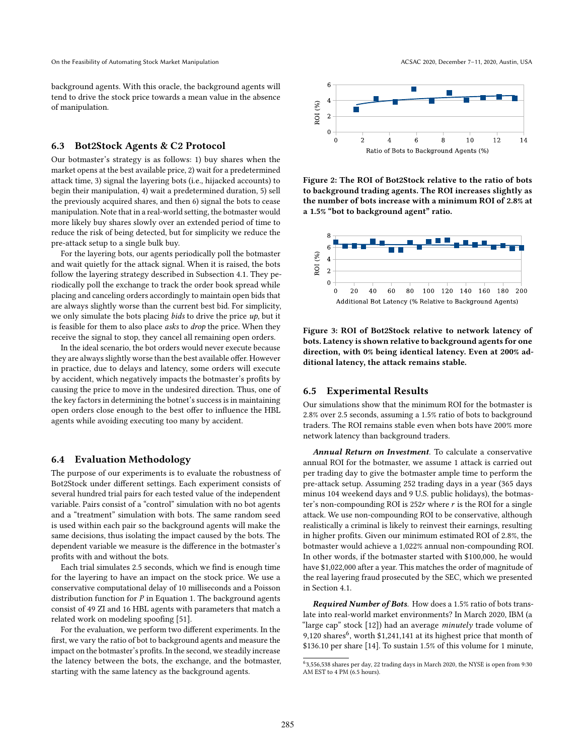background agents. With this oracle, the background agents will tend to drive the stock price towards a mean value in the absence of manipulation.

#### 6.3 Bot2Stock Agents & C2 Protocol

Our botmaster's strategy is as follows: 1) buy shares when the market opens at the best available price, 2) wait for a predetermined attack time, 3) signal the layering bots (i.e., hijacked accounts) to begin their manipulation, 4) wait a predetermined duration, 5) sell the previously acquired shares, and then 6) signal the bots to cease manipulation. Note that in a real-world setting, the botmaster would more likely buy shares slowly over an extended period of time to reduce the risk of being detected, but for simplicity we reduce the pre-attack setup to a single bulk buy.

For the layering bots, our agents periodically poll the botmaster and wait quietly for the attack signal. When it is raised, the bots follow the layering strategy described in Subsection [4.1.](#page-3-1) They periodically poll the exchange to track the order book spread while placing and canceling orders accordingly to maintain open bids that are always slightly worse than the current best bid. For simplicity, we only simulate the bots placing *bids* to drive the price  $up$ , but it is feasible for them to also place *asks* to *drop* the price. When they receive the signal to stop, they cancel all remaining open orders.

In the ideal scenario, the bot orders would never execute because they are always slightly worse than the best available offer. However in practice, due to delays and latency, some orders will execute by accident, which negatively impacts the botmaster's profits by causing the price to move in the undesired direction. Thus, one of the key factors in determining the botnet's success is in maintaining open orders close enough to the best offer to influence the HBL agents while avoiding executing too many by accident.

#### 6.4 Evaluation Methodology

The purpose of our experiments is to evaluate the robustness of Bot2Stock under different settings. Each experiment consists of several hundred trial pairs for each tested value of the independent variable. Pairs consist of a "control" simulation with no bot agents and a "treatment" simulation with bots. The same random seed is used within each pair so the background agents will make the same decisions, thus isolating the impact caused by the bots. The dependent variable we measure is the difference in the botmaster's profits with and without the bots.

Each trial simulates 2.5 seconds, which we find is enough time for the layering to have an impact on the stock price. We use a conservative computational delay of 10 milliseconds and a Poisson distribution function for  $P$  in Equation [1.](#page-7-3) The background agents consist of 49 ZI and 16 HBL agents with parameters that match a related work on modeling spoofing [\[51\]](#page-11-7).

For the evaluation, we perform two different experiments. In the first, we vary the ratio of bot to background agents and measure the impact on the botmaster's profits. In the second, we steadily increase the latency between the bots, the exchange, and the botmaster, starting with the same latency as the background agents.

<span id="page-8-1"></span>

Figure 2: The ROI of Bot2Stock relative to the ratio of bots to background trading agents. The ROI increases slightly as the number of bots increase with a minimum ROI of 2.8% at a 1.5% "bot to background agent" ratio.

<span id="page-8-2"></span>

Figure 3: ROI of Bot2Stock relative to network latency of bots. Latency is shown relative to background agents for one direction, with 0% being identical latency. Even at 200% additional latency, the attack remains stable.

# <span id="page-8-3"></span>6.5 Experimental Results

Our simulations show that the minimum ROI for the botmaster is 2.8% over 2.5 seconds, assuming a 1.5% ratio of bots to background traders. The ROI remains stable even when bots have 200% more network latency than background traders.

Annual Return on Investment. To calculate a conservative annual ROI for the botmaster, we assume 1 attack is carried out per trading day to give the botmaster ample time to perform the pre-attack setup. Assuming 252 trading days in a year (365 days minus 104 weekend days and 9 U.S. public holidays), the botmaster's non-compounding ROI is  $252r$  where r is the ROI for a single attack. We use non-compounding ROI to be conservative, although realistically a criminal is likely to reinvest their earnings, resulting in higher profits. Given our minimum estimated ROI of 2.8%, the botmaster would achieve a 1,022% annual non-compounding ROI. In other words, if the botmaster started with \$100,000, he would have \$1,022,000 after a year. This matches the order of magnitude of the real layering fraud prosecuted by the SEC, which we presented in Section [4.1.](#page-3-1)

Required Number of Bots. How does a 1.5% ratio of bots translate into real-world market environments? In March 2020, IBM (a "large cap" stock [\[12\]](#page-10-16)) had an average minutely trade volume of 9,120 shares<sup>[6](#page-8-0)</sup>, worth \$1,241,141 at its highest price that month of \$136.10 per share [\[14\]](#page-10-17). To sustain 1.5% of this volume for 1 minute,

<span id="page-8-0"></span><sup>6</sup> 3,556,538 shares per day, 22 trading days in March 2020, the NYSE is open from 9:30 AM EST to 4 PM (6.5 hours).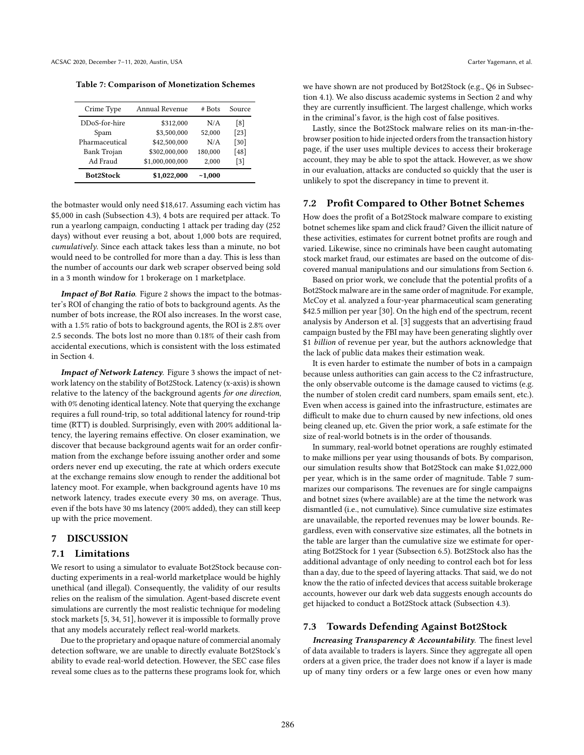<span id="page-9-2"></span>Table 7: Comparison of Monetization Schemes

| Crime Type       | Annual Revenue  | # Bots  | Source |
|------------------|-----------------|---------|--------|
| DDoS-for-hire    | \$312,000       | N/A     | [8]    |
| Spam             | \$3,500,000     | 52,000  | $[23]$ |
| Pharmaceutical   | \$42,500,000    | N/A     | [30]   |
| Bank Trojan      | \$302,000,000   | 180,000 | [48]   |
| Ad Fraud         | \$1,000,000,000 | 2,000   | [3]    |
| <b>Bot2Stock</b> | \$1,022,000     | ~1,000  |        |

the botmaster would only need \$18,617. Assuming each victim has \$5,000 in cash (Subsection [4.3\)](#page-4-0), 4 bots are required per attack. To run a yearlong campaign, conducting 1 attack per trading day (252 days) without ever reusing a bot, about 1,000 bots are required, cumulatively. Since each attack takes less than a minute, no bot would need to be controlled for more than a day. This is less than the number of accounts our dark web scraper observed being sold in a 3 month window for 1 brokerage on 1 marketplace.

Impact of Bot Ratio. Figure [2](#page-8-1) shows the impact to the botmaster's ROI of changing the ratio of bots to background agents. As the number of bots increase, the ROI also increases. In the worst case, with a 1.5% ratio of bots to background agents, the ROI is 2.8% over 2.5 seconds. The bots lost no more than 0.18% of their cash from accidental executions, which is consistent with the loss estimated in Section [4.](#page-3-0)

Impact of Network Latency. Figure [3](#page-8-2) shows the impact of network latency on the stability of Bot2Stock. Latency (x-axis) is shown relative to the latency of the background agents for one direction, with 0% denoting identical latency. Note that querying the exchange requires a full round-trip, so total additional latency for round-trip time (RTT) is doubled. Surprisingly, even with 200% additional latency, the layering remains effective. On closer examination, we discover that because background agents wait for an order confirmation from the exchange before issuing another order and some orders never end up executing, the rate at which orders execute at the exchange remains slow enough to render the additional bot latency moot. For example, when background agents have 10 ms network latency, trades execute every 30 ms, on average. Thus, even if the bots have 30 ms latency (200% added), they can still keep up with the price movement.

#### 7 DISCUSSION

# 7.1 Limitations

We resort to using a simulator to evaluate Bot2Stock because conducting experiments in a real-world marketplace would be highly unethical (and illegal). Consequently, the validity of our results relies on the realism of the simulation. Agent-based discrete event simulations are currently the most realistic technique for modeling stock markets [\[5,](#page-10-3) [34,](#page-11-8) [51\]](#page-11-7), however it is impossible to formally prove that any models accurately reflect real-world markets.

Due to the proprietary and opaque nature of commercial anomaly detection software, we are unable to directly evaluate Bot2Stock's ability to evade real-world detection. However, the SEC case files reveal some clues as to the patterns these programs look for, which we have shown are not produced by Bot2Stock (e.g., Q6 in Subsection [4.1\)](#page-3-1). We also discuss academic systems in Section [2](#page-1-3) and why they are currently insufficient. The largest challenge, which works in the criminal's favor, is the high cost of false positives.

Lastly, since the Bot2Stock malware relies on its man-in-thebrowser position to hide injected orders from the transaction history page, if the user uses multiple devices to access their brokerage account, they may be able to spot the attack. However, as we show in our evaluation, attacks are conducted so quickly that the user is unlikely to spot the discrepancy in time to prevent it.

#### <span id="page-9-0"></span>7.2 Profit Compared to Other Botnet Schemes

How does the profit of a Bot2Stock malware compare to existing botnet schemes like spam and click fraud? Given the illicit nature of these activities, estimates for current botnet profits are rough and varied. Likewise, since no criminals have been caught automating stock market fraud, our estimates are based on the outcome of discovered manual manipulations and our simulations from Section [6.](#page-7-0)

Based on prior work, we conclude that the potential profits of a Bot2Stock malware are in the same order of magnitude. For example, McCoy et al. analyzed a four-year pharmaceutical scam generating \$42.5 million per year [\[30\]](#page-11-32). On the high end of the spectrum, recent analysis by Anderson et al. [\[3\]](#page-10-19) suggests that an advertising fraud campaign busted by the FBI may have been generating slightly over \$1 billion of revenue per year, but the authors acknowledge that the lack of public data makes their estimation weak.

It is even harder to estimate the number of bots in a campaign because unless authorities can gain access to the C2 infrastructure, the only observable outcome is the damage caused to victims (e.g. the number of stolen credit card numbers, spam emails sent, etc.). Even when access is gained into the infrastructure, estimates are difficult to make due to churn caused by new infections, old ones being cleaned up, etc. Given the prior work, a safe estimate for the size of real-world botnets is in the order of thousands.

In summary, real-world botnet operations are roughly estimated to make millions per year using thousands of bots. By comparison, our simulation results show that Bot2Stock can make \$1,022,000 per year, which is in the same order of magnitude. Table [7](#page-9-2) summarizes our comparisons. The revenues are for single campaigns and botnet sizes (where available) are at the time the network was dismantled (i.e., not cumulative). Since cumulative size estimates are unavailable, the reported revenues may be lower bounds. Regardless, even with conservative size estimates, all the botnets in the table are larger than the cumulative size we estimate for operating Bot2Stock for 1 year (Subsection [6.5\)](#page-8-3). Bot2Stock also has the additional advantage of only needing to control each bot for less than a day, due to the speed of layering attacks. That said, we do not know the the ratio of infected devices that access suitable brokerage accounts, however our dark web data suggests enough accounts do get hijacked to conduct a Bot2Stock attack (Subsection [4.3\)](#page-4-0).

#### <span id="page-9-1"></span>7.3 Towards Defending Against Bot2Stock

Increasing Transparency & Accountability. The finest level of data available to traders is layers. Since they aggregate all open orders at a given price, the trader does not know if a layer is made up of many tiny orders or a few large ones or even how many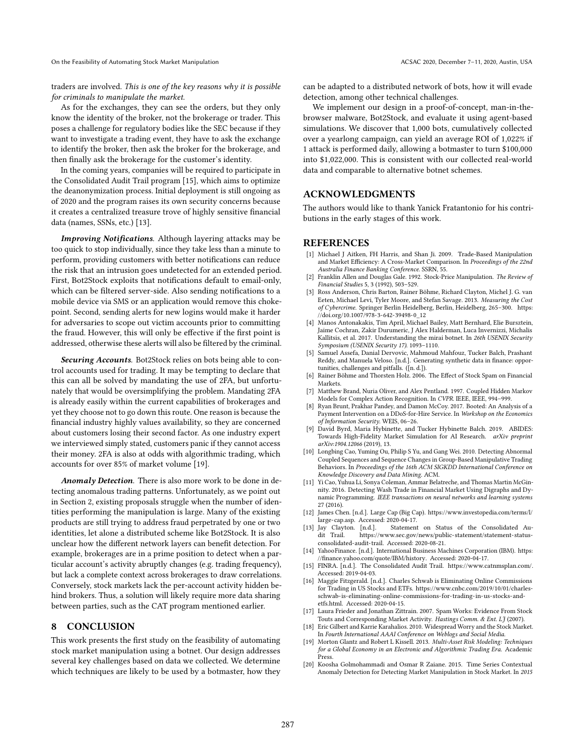traders are involved. This is one of the key reasons why it is possible for criminals to manipulate the market.

As for the exchanges, they can see the orders, but they only know the identity of the broker, not the brokerage or trader. This poses a challenge for regulatory bodies like the SEC because if they want to investigate a trading event, they have to ask the exchange to identify the broker, then ask the broker for the brokerage, and then finally ask the brokerage for the customer's identity.

In the coming years, companies will be required to participate in the Consolidated Audit Trail program [\[15\]](#page-10-13), which aims to optimize the deanonymization process. Initial deployment is still ongoing as of 2020 and the program raises its own security concerns because it creates a centralized treasure trove of highly sensitive financial data (names, SSNs, etc.) [\[13\]](#page-10-12).

Improving Notifications. Although layering attacks may be too quick to stop individually, since they take less than a minute to perform, providing customers with better notifications can reduce the risk that an intrusion goes undetected for an extended period. First, Bot2Stock exploits that notifications default to email-only, which can be filtered server-side. Also sending notifications to a mobile device via SMS or an application would remove this chokepoint. Second, sending alerts for new logins would make it harder for adversaries to scope out victim accounts prior to committing the fraud. However, this will only be effective if the first point is addressed, otherwise these alerts will also be filtered by the criminal.

Securing Accounts. Bot2Stock relies on bots being able to control accounts used for trading. It may be tempting to declare that this can all be solved by mandating the use of 2FA, but unfortunately that would be oversimplifying the problem. Mandating 2FA is already easily within the current capabilities of brokerages and yet they choose not to go down this route. One reason is because the financial industry highly values availability, so they are concerned about customers losing their second factor. As one industry expert we interviewed simply stated, customers panic if they cannot access their money. 2FA is also at odds with algorithmic trading, which accounts for over 85% of market volume [\[19\]](#page-10-4).

Anomaly Detection. There is also more work to be done in detecting anomalous trading patterns. Unfortunately, as we point out in Section [2,](#page-1-3) existing proposals struggle when the number of identities performing the manipulation is large. Many of the existing products are still trying to address fraud perpetrated by one or two identities, let alone a distributed scheme like Bot2Stock. It is also unclear how the different network layers can benefit detection. For example, brokerages are in a prime position to detect when a particular account's activity abruptly changes (e.g. trading frequency), but lack a complete context across brokerages to draw correlations. Conversely, stock markets lack the per-account activity hidden behind brokers. Thus, a solution will likely require more data sharing between parties, such as the CAT program mentioned earlier.

#### 8 CONCLUSION

This work presents the first study on the feasibility of automating stock market manipulation using a botnet. Our design addresses several key challenges based on data we collected. We determine which techniques are likely to be used by a botmaster, how they

can be adapted to a distributed network of bots, how it will evade detection, among other technical challenges.

We implement our design in a proof-of-concept, man-in-thebrowser malware, Bot2Stock, and evaluate it using agent-based simulations. We discover that 1,000 bots, cumulatively collected over a yearlong campaign, can yield an average ROI of 1,022% if 1 attack is performed daily, allowing a botmaster to turn \$100,000 into \$1,022,000. This is consistent with our collected real-world data and comparable to alternative botnet schemes.

# ACKNOWLEDGMENTS

The authors would like to thank Yanick Fratantonio for his contributions in the early stages of this work.

#### **REFERENCES**

- <span id="page-10-5"></span>[1] Michael J Aitken, FH Harris, and Shan Ji. 2009. Trade-Based Manipulation and Market Efficiency: A Cross-Market Comparison. In Proceedings of the 22nd Australia Finance Banking Conference. SSRN, 55.
- <span id="page-10-6"></span>[2] Franklin Allen and Douglas Gale. 1992. Stock-Price Manipulation. The Review of Financial Studies 5, 3 (1992), 503–529.
- <span id="page-10-19"></span>[3] Ross Anderson, Chris Barton, Rainer Böhme, Richard Clayton, Michel J. G. van Eeten, Michael Levi, Tyler Moore, and Stefan Savage. 2013. Measuring the Cost of Cybercrime. Springer Berlin Heidelberg, Berlin, Heidelberg, 265–300. [https:](https://doi.org/10.1007/978-3-642-39498-0_12) [//doi.org/10.1007/978-3-642-39498-0\\_12](https://doi.org/10.1007/978-3-642-39498-0_12)
- <span id="page-10-11"></span>[4] Manos Antonakakis, Tim April, Michael Bailey, Matt Bernhard, Elie Bursztein, Jaime Cochran, Zakir Durumeric, J Alex Halderman, Luca Invernizzi, Michalis Kallitsis, et al. 2017. Understanding the mirai botnet. In 26th USENIX Security Symposium (USENIX Security 17). 1093–1110.
- <span id="page-10-3"></span>[5] Samuel Assefa, Danial Dervovic, Mahmoud Mahfouz, Tucker Balch, Prashant Reddy, and Manuela Veloso. [n.d.]. Generating synthetic data in finance: opportunities, challenges and pitfalls. ([n. d.]).
- <span id="page-10-0"></span>[6] Rainer Böhme and Thorsten Holz. 2006. The Effect of Stock Spam on Financial Markets.
- <span id="page-10-8"></span>[7] Matthew Brand, Nuria Oliver, and Alex Pentland. 1997. Coupled Hidden Markov Models for Complex Action Recognition. In CVPR. IEEE, IEEE, 994-999.
- <span id="page-10-18"></span>[8] Ryan Brunt, Prakhar Pandey, and Damon McCoy. 2017. Booted: An Analysis of a Payment Intervention on a DDoS-for-Hire Service. In Workshop on the Economics of Information Security. WEIS, 06–26.
- <span id="page-10-15"></span>[9] David Byrd, Maria Hybinette, and Tucker Hybinette Balch. 2019. ABIDES: Towards High-Fidelity Market Simulation for AI Research. arXiv preprint arXiv:1904.12066 (2019), 13.
- <span id="page-10-9"></span>[10] Longbing Cao, Yuming Ou, Philip S Yu, and Gang Wei. 2010. Detecting Abnormal Coupled Sequences and Sequence Changes in Group-Based Manipulative Trading Behaviors. In Proceedings of the 16th ACM SIGKDD International Conference on Knowledge Discovery and Data Mining. ACM.
- <span id="page-10-10"></span>[11] Yi Cao, Yuhua Li, Sonya Coleman, Ammar Belatreche, and Thomas Martin McGinnity. 2016. Detecting Wash Trade in Financial Market Using Digraphs and Dynamic Programming. IEEE transactions on neural networks and learning systems 27 (2016).
- <span id="page-10-16"></span>[12] James Chen. [n.d.]. Large Cap (Big Cap). [https://www.investopedia.com/terms/l/](https://www.investopedia.com/terms/l/large-cap.asp) [large-cap.asp.](https://www.investopedia.com/terms/l/large-cap.asp) Accessed: 2020-04-17.<br>[13] Jay Clayton. [n.d.]. Statement
- <span id="page-10-12"></span>Jay Clayton. [n.d.]. Statement on Status of the Consolidated Au-<br>dit Trail. https://www.sec.gov/news/public-statement/statement-status- $\hbox{https://www.sec.gov/news/public-statement/statement-status-}$ [consolidated-audit-trail.](https://www.sec.gov/news/public-statement/statement-status-consolidated-audit-trail) Accessed: 2020-08-21.
- <span id="page-10-17"></span>[14] YahooFinance. [n.d.]. International Business Machines Corporation (IBM). [https:](https://finance.yahoo.com/quote/IBM/history) [//finance.yahoo.com/quote/IBM/history.](https://finance.yahoo.com/quote/IBM/history) Accessed: 2020-04-17.
- <span id="page-10-13"></span>[15] FINRA. [n.d.]. The Consolidated Audit Trail. [https://www.catnmsplan.com/.](https://www.catnmsplan.com/) Accessed: 2019-04-03.
- <span id="page-10-14"></span>[16] Maggie Fitzgerald. [n.d.]. Charles Schwab is Eliminating Online Commissions for Trading in US Stocks and ETFs. [https://www.cnbc.com/2019/10/01/charles](https://www.cnbc.com/2019/10/01/charles-schwab-is-eliminating-online-commissions-for-trading-in-us-stocks-and-etfs.html)[schwab-is-eliminating-online-commissions-for-trading-in-us-stocks-and](https://www.cnbc.com/2019/10/01/charles-schwab-is-eliminating-online-commissions-for-trading-in-us-stocks-and-etfs.html)[etfs.html.](https://www.cnbc.com/2019/10/01/charles-schwab-is-eliminating-online-commissions-for-trading-in-us-stocks-and-etfs.html) Accessed: 2020-04-15.
- <span id="page-10-1"></span>[17] Laura Frieder and Jonathan Zittrain. 2007. Spam Works: Evidence From Stock Touts and Corresponding Market Activity. Hastings Comm. & Ent. LJ (2007).
- <span id="page-10-2"></span>[18] Eric Gilbert and Karrie Karahalios. 2010. Widespread Worry and the Stock Market. In Fourth International AAAI Conference on Weblogs and Social Media.
- <span id="page-10-4"></span>[19] Morton Glantz and Robert L Kissell. 2013. Multi-Asset Risk Modeling: Techniques for a Global Economy in an Electronic and Algorithmic Trading Era. Academic Press.
- <span id="page-10-7"></span>[20] Koosha Golmohammadi and Osmar R Zaiane. 2015. Time Series Contextual Anomaly Detection for Detecting Market Manipulation in Stock Market. In 2015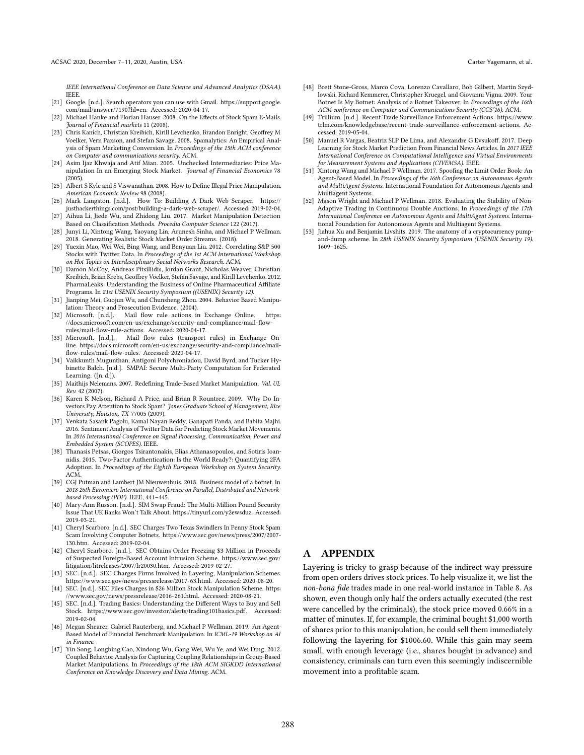IEEE International Conference on Data Science and Advanced Analytics (DSAA). IEEE.

- <span id="page-11-25"></span>[21] Google. [n.d.]. Search operators you can use with Gmail. [https://support.google.](https://support.google.com/mail/answer/7190?hl=en) [com/mail/answer/7190?hl=en.](https://support.google.com/mail/answer/7190?hl=en) Accessed: 2020-04-17.
- <span id="page-11-1"></span>[22] Michael Hanke and Florian Hauser. 2008. On the Effects of Stock Spam E-Mails. Journal of Financial markets 11 (2008).
- <span id="page-11-31"></span>[23] Chris Kanich, Christian Kreibich, Kirill Levchenko, Brandon Enright, Geoffrey M Voelker, Vern Paxson, and Stefan Savage. 2008. Spamalytics: An Empirical Analysis of Spam Marketing Conversion. In Proceedings of the 15th ACM conference on Computer and communications security. ACM.
- <span id="page-11-11"></span>[24] Asim Ijaz Khwaja and Atif Mian. 2005. Unchecked Intermediaries: Price Manipulation In an Emerging Stock Market. Journal of Financial Economics 78  $(2005)$ .
- <span id="page-11-9"></span>[25] Albert S Kyle and S Viswanathan. 2008. How to Define Illegal Price Manipulation. American Economic Review 98 (2008).
- <span id="page-11-21"></span>[26] Mark Langston. [n.d.]. How To: Building A Dark Web Scraper. [https://](https://justhackerthings.com/post/building-a-dark-web-scraper/) [justhackerthings.com/post/building-a-dark-web-scraper/.](https://justhackerthings.com/post/building-a-dark-web-scraper/) Accessed: 2019-02-04.
- <span id="page-11-14"></span>[27] Aihua Li, Jiede Wu, and Zhidong Liu. 2017. Market Manipulation Detection Based on Classification Methods. Procedia Computer Science 122 (2017).
- <span id="page-11-28"></span>[28] Junyi Li, Xintong Wang, Yaoyang Lin, Arunesh Sinha, and Michael P Wellman. 2018. Generating Realistic Stock Market Order Streams. (2018).
- <span id="page-11-4"></span>[29] Yuexin Mao, Wei Wei, Bing Wang, and Benyuan Liu. 2012. Correlating S&P 500 Stocks with Twitter Data. In Proceedings of the 1st ACM International Workshop on Hot Topics on Interdisciplinary Social Networks Research. ACM.
- <span id="page-11-32"></span>[30] Damon McCoy, Andreas Pitsillidis, Jordan Grant, Nicholas Weaver, Christian Kreibich, Brian Krebs, Geoffrey Voelker, Stefan Savage, and Kirill Levchenko. 2012. PharmaLeaks: Understanding the Business of Online Pharmaceutical Affiliate Programs. In 21st USENIX Security Symposium ((USENIX) Security 12).
- <span id="page-11-2"></span>[31] Jianping Mei, Guojun Wu, and Chunsheng Zhou. 2004. Behavior Based Manipulation: Theory and Prosecution Evidence. (2004).
- <span id="page-11-26"></span>[32] Microsoft. [n.d.]. Mail flow rule actions in Exchange Online. [https:](https://docs.microsoft.com/en-us/exchange/security-and-compliance/mail-flow-rules/mail-flow-rule-actions) [//docs.microsoft.com/en-us/exchange/security-and-compliance/mail-flow](https://docs.microsoft.com/en-us/exchange/security-and-compliance/mail-flow-rules/mail-flow-rule-actions)[rules/mail-flow-rule-actions.](https://docs.microsoft.com/en-us/exchange/security-and-compliance/mail-flow-rules/mail-flow-rule-actions) Accessed: 2020-04-17.
- <span id="page-11-27"></span>[33] Microsoft. [n.d.]. Mail flow rules (transport rules) in Exchange Online. [https://docs.microsoft.com/en-us/exchange/security-and-compliance/mail](https://docs.microsoft.com/en-us/exchange/security-and-compliance/mail-flow-rules/mail-flow-rules)[flow-rules/mail-flow-rules.](https://docs.microsoft.com/en-us/exchange/security-and-compliance/mail-flow-rules/mail-flow-rules) Accessed: 2020-04-17.
- <span id="page-11-8"></span>[34] Vaikkunth Mugunthan, Antigoni Polychroniadou, David Byrd, and Tucker Hybinette Balch. [n.d.]. SMPAI: Secure Multi-Party Computation for Federated Learning. ([n. d.]).
- <span id="page-11-10"></span>[35] Maithijs Nelemans. 2007. Redefining Trade-Based Market Manipulation. Val. UL Rev. 42 (2007).
- <span id="page-11-3"></span>[36] Karen K Nelson, Richard A Price, and Brian R Rountree. 2009. Why Do Investors Pay Attention to Stock Spam? Jones Graduate School of Management, Rice University, Houston, TX 77005 (2009).
- <span id="page-11-5"></span>[37] Venkata Sasank Pagolu, Kamal Nayan Reddy, Ganapati Panda, and Babita Majhi. 2016. Sentiment Analysis of Twitter Data for Predicting Stock Market Movements. In 2016 International Conference on Signal Processing, Communication, Power and Embedded System (SCOPES). IEEE.
- <span id="page-11-23"></span>[38] Thanasis Petsas, Giorgos Tsirantonakis, Elias Athanasopoulos, and Sotiris Ioannidis. 2015. Two-Factor Authentication: Is the World Ready?: Quantifying 2FA Adoption. In Proceedings of the Eighth European Workshop on System Security. ACM.
- <span id="page-11-16"></span>[39] CGJ Putman and Lambert JM Nieuwenhuis. 2018. Business model of a botnet. In 2018 26th Euromicro International Conference on Parallel, Distributed and Networkbased Processing (PDP). IEEE, 441–445.
- <span id="page-11-24"></span>[40] Mary-Ann Russon. [n.d.]. SIM Swap Fraud: The Multi-Million Pound Security Issue That UK Banks Won't Talk About. [https://tinyurl.com/y2ewsduz.](https://tinyurl.com/y2ewsduz) Accessed: 2019-03-21.
- <span id="page-11-0"></span>[41] Cheryl Scarboro. [n.d.]. SEC Charges Two Texas Swindlers In Penny Stock Spam Scam Involving Computer Botnets. [https://www.sec.gov/news/press/2007/2007-](https://www.sec.gov/news/press/2007/2007-130.htm) [130.htm.](https://www.sec.gov/news/press/2007/2007-130.htm) Accessed: 2019-02-04.
- <span id="page-11-20"></span>[42] Cheryl Scarboro. [n.d.]. SEC Obtains Order Freezing \$3 Million in Proceeds of Suspected Foreign-Based Account Intrusion Scheme. [https://www.sec.gov/](https://www.sec.gov/litigation/litreleases/2007/lr20030.htm) [litigation/litreleases/2007/lr20030.htm.](https://www.sec.gov/litigation/litreleases/2007/lr20030.htm) Accessed: 2019-02-27.
- <span id="page-11-17"></span>[43] SEC. [n.d.]. SEC Charges Firms Involved in Layering, Manipulation Schemes. [https://www.sec.gov/news/pressrelease/2017-63.html.](https://www.sec.gov/news/pressrelease/2017-63.html) Accessed: 2020-08-20.
- <span id="page-11-19"></span>[44] SEC. [n.d.]. SEC Files Charges in \$26 Million Stock Manipulation Scheme. [https:](https://www.sec.gov/news/pressrelease/2016-261.html) [//www.sec.gov/news/pressrelease/2016-261.html.](https://www.sec.gov/news/pressrelease/2016-261.html) Accessed: 2020-08-21.
- <span id="page-11-15"></span>[45] SEC. [n.d.]. Trading Basics: Understanding the Different Ways to Buy and Sell Stock. [https://www.sec.gov/investor/alerts/trading101basics.pdf.](https://www.sec.gov/investor/alerts/trading101basics.pdf) Accessed: 2019-02-04.
- <span id="page-11-29"></span>[46] Megan Shearer, Gabriel Rauterberg, and Michael P Wellman. 2019. An Agent-Based Model of Financial Benchmark Manipulation. In ICML-19 Workshop on AI in Finance.
- <span id="page-11-13"></span>[47] Yin Song, Longbing Cao, Xindong Wu, Gang Wei, Wu Ye, and Wei Ding. 2012. Coupled Behavior Analysis for Capturing Coupling Relationships in Group-Based Market Manipulations. In Proceedings of the 18th ACM SIGKDD International Conference on Knowledge Discovery and Data Mining. ACM.
- <span id="page-11-33"></span>[48] Brett Stone-Gross, Marco Cova, Lorenzo Cavallaro, Bob Gilbert, Martin Szydlowski, Richard Kemmerer, Christopher Kruegel, and Giovanni Vigna. 2009. Your Botnet Is My Botnet: Analysis of a Botnet Takeover. In Proceedings of the 16th ACM conference on Computer and Communications Security (CCS'16). ACM.
- <span id="page-11-18"></span>[49] Trillium. [n.d.]. Recent Trade Surveillance Enforcement Actions. [https://www.](https://www.trlm.com/knowledgebase/recent-trade-surveillance-enforcement-actions) [trlm.com/knowledgebase/recent-trade-surveillance-enforcement-actions.](https://www.trlm.com/knowledgebase/recent-trade-surveillance-enforcement-actions) Accessed: 2019-05-04.
- <span id="page-11-6"></span>[50] Manuel R Vargas, Beatriz SLP De Lima, and Alexandre G Evsukoff. 2017. Deep Learning for Stock Market Prediction From Financial News Articles. In 2017 IEEE International Conference on Computational Intelligence and Virtual Environments for Measurement Systems and Applications (CIVEMSA). IEEE.
- <span id="page-11-7"></span>[51] Xintong Wang and Michael P Wellman. 2017. Spoofing the Limit Order Book: An Agent-Based Model. In Proceedings of the 16th Conference on Autonomous Agents and MultiAgent Systems. International Foundation for Autonomous Agents and Multiagent Systems.
- <span id="page-11-30"></span>[52] Mason Wright and Michael P Wellman. 2018. Evaluating the Stability of Non-Adaptive Trading in Continuous Double Auctions. In Proceedings of the 17th International Conference on Autonomous Agents and MultiAgent Systems. International Foundation for Autonomous Agents and Multiagent Systems.
- <span id="page-11-12"></span>Jiahua Xu and Benjamin Livshits. 2019. The anatomy of a cryptocurrency pumpand-dump scheme. In 28th USENIX Security Symposium (USENIX Security 19). 1609–1625.

# <span id="page-11-22"></span>A APPENDIX

Layering is tricky to grasp because of the indirect way pressure from open orders drives stock prices. To help visualize it, we list the non-bona fide trades made in one real-world instance in Table [8.](#page-12-1) As shown, even though only half the orders actually executed (the rest were cancelled by the criminals), the stock price moved 0.66% in a matter of minutes. If, for example, the criminal bought \$1,000 worth of shares prior to this manipulation, he could sell them immediately following the layering for \$1006.60. While this gain may seem small, with enough leverage (i.e., shares bought in advance) and consistency, criminals can turn even this seemingly indiscernible movement into a profitable scam.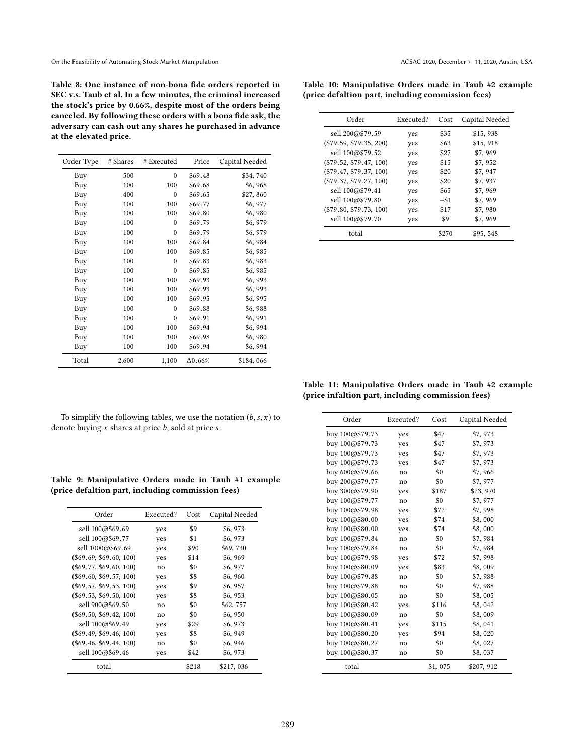<span id="page-12-1"></span>Table 8: One instance of non-bona fide orders reported in SEC v.s. Taub et al. In a few minutes, the criminal increased the stock's price by 0.66%, despite most of the orders being canceled. By following these orders with a bona fide ask, the adversary can cash out any shares he purchased in advance at the elevated price.

| Order Type | # Shares | # Executed | Price           | Capital Needed |
|------------|----------|------------|-----------------|----------------|
| Buy        | 500      | $\theta$   | \$69.48         | \$34,740       |
| Buy        | 100      | 100        | \$69.68         | \$6,968        |
| Buy        | 400      | $\theta$   | \$69.65         | \$27,860       |
| Buy        | 100      | 100        | \$69.77         | \$6,977        |
| Buy        | 100      | 100        | \$69.80         | \$6,980        |
| Buy        | 100      | $\Omega$   | \$69.79         | \$6,979        |
| Buy        | 100      | $\theta$   | \$69.79         | \$6,979        |
| Buy        | 100      | 100        | \$69.84         | \$6,984        |
| Buy        | 100      | 100        | \$69.85         | \$6,985        |
| Buy        | 100      | $\theta$   | \$69.83         | \$6,983        |
| Buy        | 100      | $\theta$   | \$69.85         | \$6,985        |
| Buy        | 100      | 100        | \$69.93         | \$6,993        |
| Buy        | 100      | 100        | \$69.93         | \$6,993        |
| Buy        | 100      | 100        | \$69.95         | \$6,995        |
| Buy        | 100      | $\Omega$   | \$69.88         | \$6,988        |
| Buy        | 100      | $\theta$   | \$69.91         | \$6,991        |
| Buy        | 100      | 100        | \$69.94         | \$6,994        |
| Buy        | 100      | 100        | \$69.98         | \$6,980        |
| Buy        | 100      | 100        | \$69.94         | \$6,994        |
| Total      | 2,600    | 1,100      | $\Lambda 0.66%$ | \$184,066      |

<span id="page-12-2"></span>Table 10: Manipulative Orders made in Taub #2 example (price defaltion part, including commission fees)

| Order                     | Executed? | Cost    | Capital Needed |
|---------------------------|-----------|---------|----------------|
| sell 200@\$79.59          | yes       | \$35    | \$15,938       |
| $(\$79.59, \$79.35, 200)$ | yes       | \$63    | \$15,918       |
| sell 100@\$79.52          | yes       | \$27    | \$7,969        |
| $(\$79.52, \$79.47, 100)$ | yes       | \$15    | \$7,952        |
| (\$79.47, \$79.37, 100)   | yes       | \$20    | \$7,947        |
| (\$79.37, \$79.27, 100)   | ves       | \$20    | \$7,937        |
| sell 100@\$79.41          | yes       | \$65    | \$7,969        |
| sell 100@\$79.80          | ves       | $-$ \$1 | \$7,969        |
| $(\$79.80, \$79.73, 100)$ | yes       | \$17    | \$7,980        |
| sell 100@\$79.70          | yes       | \$9     | \$7,969        |
| total                     |           | \$270   | \$95,548       |

<span id="page-12-3"></span>Table 11: Manipulative Orders made in Taub #2 example (price infaltion part, including commission fees)

To simplify the following tables, we use the notation  $(b, s, x)$  to denote buying  $x$  shares at price  $b$ , sold at price  $s$ .

<span id="page-12-0"></span>

|  |  |                                                   |  |  | Table 9: Manipulative Orders made in Taub #1 example |
|--|--|---------------------------------------------------|--|--|------------------------------------------------------|
|  |  | (price defaltion part, including commission fees) |  |  |                                                      |

| Order                     | Executed? | Cost  | Capital Needed |
|---------------------------|-----------|-------|----------------|
| sell 100@\$69.69          | yes       | \$9   | \$6,973        |
| sell 100@\$69.77          | yes       | \$1   | \$6,973        |
| sell 1000@\$69.69         | ves       | \$90  | \$69,730       |
| $(\$69.69, \$69.60, 100)$ | ves       | \$14  | \$6,969        |
| $(\$69.77, \$69.60, 100)$ | no        | \$0   | \$6,977        |
| $(\$69.60, \$69.57, 100)$ | yes       | \$8   | \$6,960        |
| $(\$69.57, \$69.53, 100)$ | yes       | \$9   | \$6,957        |
| $(\$69.53, \$69.50, 100)$ | yes       | \$8   | \$6,953        |
| sell 900@\$69.50          | no        | \$0   | \$62,757       |
| $(\$69.50, \$69.42, 100)$ | no        | \$0   | \$6,950        |
| sell 100@\$69.49          | yes       | \$29  | \$6,973        |
| $(\$69.49, \$69.46, 100)$ | yes       | \$8   | \$6,949        |
| $(\$69.46, \$69.44, 100)$ | no        | \$0   | \$6,946        |
| sell 100@\$69.46          | yes       | \$42  | \$6,973        |
| total                     |           | \$218 | \$217,036      |

| Order           | Executed? | Cost    | Capital Needed |
|-----------------|-----------|---------|----------------|
| buy 100@\$79.73 | yes       | \$47    | \$7,973        |
| buy 100@\$79.73 | yes       | \$47    | \$7,973        |
| buy 100@\$79.73 | yes       | \$47    | \$7,973        |
| buy 100@\$79.73 | yes       | \$47    | \$7,973        |
| buy 600@\$79.66 | no        | \$0     | \$7,966        |
| buy 200@\$79.77 | no        | \$0     | \$7,977        |
| buy 300@\$79.90 | yes       | \$187   | \$23,970       |
| buy 100@\$79.77 | no        | \$0     | \$7,977        |
| buy 100@\$79.98 | yes       | \$72    | \$7,998        |
| buy 100@\$80.00 | yes       | \$74    | \$8,000        |
| buy 100@\$80.00 | yes       | \$74    | \$8,000        |
| buy 100@\$79.84 | no        | \$0     | \$7,984        |
| buy 100@\$79.84 | no        | \$0     | \$7,984        |
| buy 100@\$79.98 | yes       | \$72    | \$7,998        |
| buy 100@\$80.09 | yes       | \$83    | \$8,009        |
| buy 100@\$79.88 | no        | \$0     | \$7,988        |
| buy 100@\$79.88 | no        | \$0     | \$7,988        |
| buy 100@\$80.05 | no        | \$0     | \$8,005        |
| buy 100@\$80.42 | yes       | \$116   | \$8,042        |
| buy 100@\$80.09 | no        | \$0     | \$8,009        |
| buy 100@\$80.41 | yes       | \$115   | \$8,041        |
| buy 100@\$80.20 | yes       | \$94    | \$8,020        |
| buy 100@\$80.27 | no        | \$0     | \$8,027        |
| buy 100@\$80.37 | no        | \$0     | \$8,037        |
| total           |           | \$1,075 | \$207, 912     |